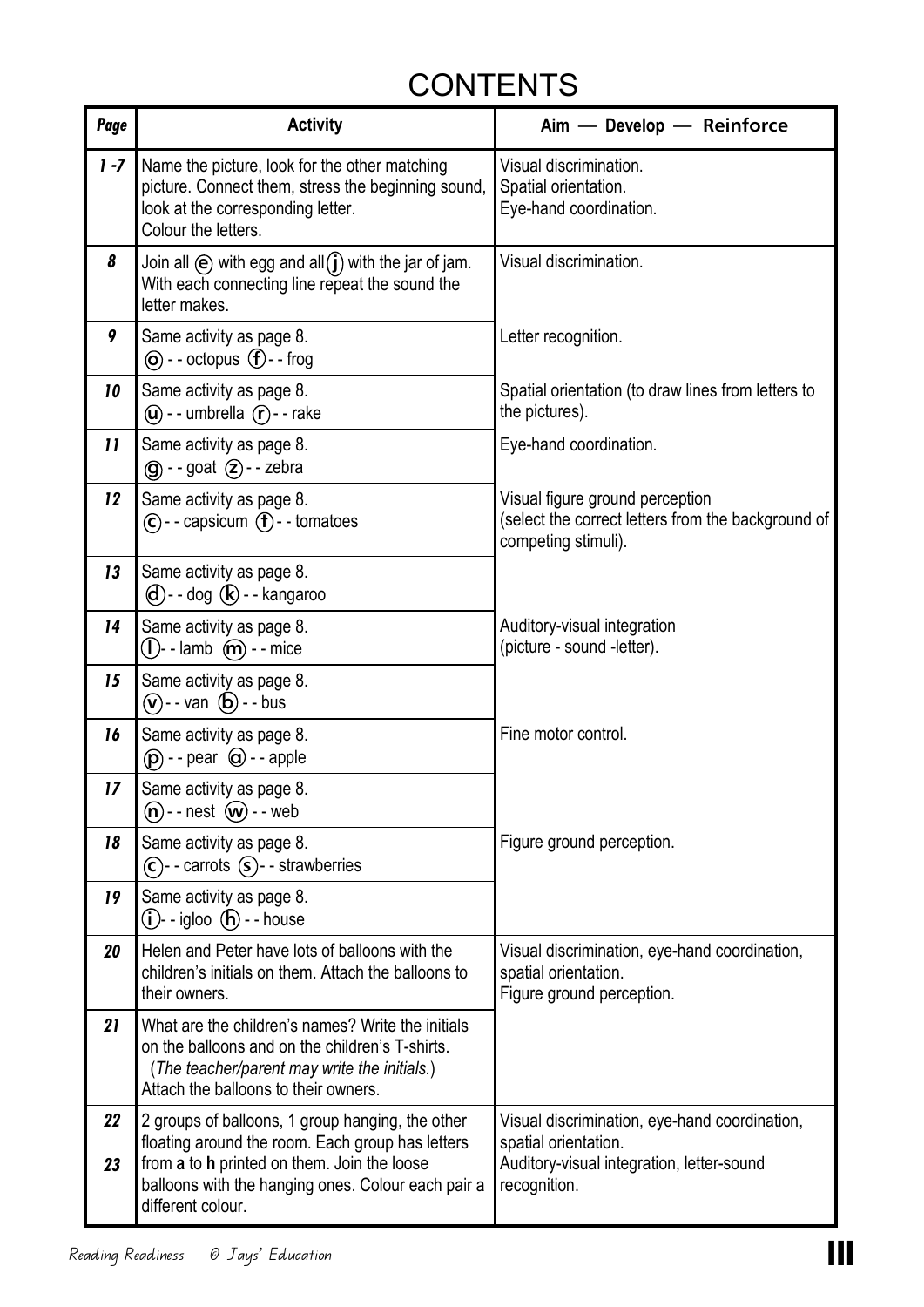## < BACK TO:

## **CONTENTS**

| Page                       | <b>Activity</b>                                                                                                                                                                                                                | Aim - Develop - Reinforce                                                                                                          |
|----------------------------|--------------------------------------------------------------------------------------------------------------------------------------------------------------------------------------------------------------------------------|------------------------------------------------------------------------------------------------------------------------------------|
| 1 - 7                      | Name the picture, look for the other matching<br>picture. Connect them, stress the beginning sound,<br>look at the corresponding letter.<br>Colour the letters.                                                                | Visual discrimination.<br>Spatial orientation.<br>Eye-hand coordination.                                                           |
| 8                          | Join all $\Theta$ with egg and all $\mathbf{j}$ with the jar of jam.<br>With each connecting line repeat the sound the<br>letter makes.                                                                                        | Visual discrimination.                                                                                                             |
| 9                          | Same activity as page 8.<br>$\circledcirc$ - - octopus $\circledcirc$ - - frog                                                                                                                                                 | Letter recognition.                                                                                                                |
| 10                         | Same activity as page 8.<br>$\omega$ - - umbrella $\tau$ - - rake                                                                                                                                                              | Spatial orientation (to draw lines from letters to<br>the pictures).                                                               |
| $\boldsymbol{\mathsf{11}}$ | Same activity as page 8.<br>$\textcircled{g}$ - - goat $\textcircled{z}$ - - zebra                                                                                                                                             | Eye-hand coordination.                                                                                                             |
| 12                         | Same activity as page 8.<br>$\left(\mathbf{C}\right)$ - capsicum $\left(\mathbf{f}\right)$ - tomatoes                                                                                                                          | Visual figure ground perception<br>(select the correct letters from the background of<br>competing stimuli).                       |
| 13                         | Same activity as page 8.<br>$\mathbf{d}$ )--dog $\mathbf{R}$ )--kangaroo                                                                                                                                                       |                                                                                                                                    |
| 14                         | Same activity as page 8.<br>$\mathbf{I}$ )--lamb $\mathbf{\widehat{m}}$ --mice                                                                                                                                                 | Auditory-visual integration<br>(picture - sound -letter).                                                                          |
| 15                         | Same activity as page 8.<br>$\hat{v}$ - van $\hat{b}$ - bus                                                                                                                                                                    |                                                                                                                                    |
| 16                         | Same activity as page 8.<br>$(\mathbf{p})$ - - pear $\mathbf{Q}$ - - apple                                                                                                                                                     | Fine motor control.                                                                                                                |
| 17                         | Same activity as page 8.<br>$(n)$ --nest $(w)$ --web                                                                                                                                                                           |                                                                                                                                    |
| 18                         | Same activity as page 8.<br>$\left(\widehat{c}\right)$ --carrots $\left(\widehat{s}\right)$ --strawberries                                                                                                                     | Figure ground perception.                                                                                                          |
| 19                         | Same activity as page 8.<br>$(i)$ - igloo $(h)$ --house                                                                                                                                                                        |                                                                                                                                    |
| 20                         | Helen and Peter have lots of balloons with the<br>children's initials on them. Attach the balloons to<br>their owners.                                                                                                         | Visual discrimination, eye-hand coordination,<br>spatial orientation.<br>Figure ground perception.                                 |
| 21                         | What are the children's names? Write the initials<br>on the balloons and on the children's T-shirts.<br>(The teacher/parent may write the initials.)<br>Attach the balloons to their owners.                                   |                                                                                                                                    |
| 22<br>23                   | 2 groups of balloons, 1 group hanging, the other<br>floating around the room. Each group has letters<br>from a to h printed on them. Join the loose<br>balloons with the hanging ones. Colour each pair a<br>different colour. | Visual discrimination, eye-hand coordination,<br>spatial orientation.<br>Auditory-visual integration, letter-sound<br>recognition. |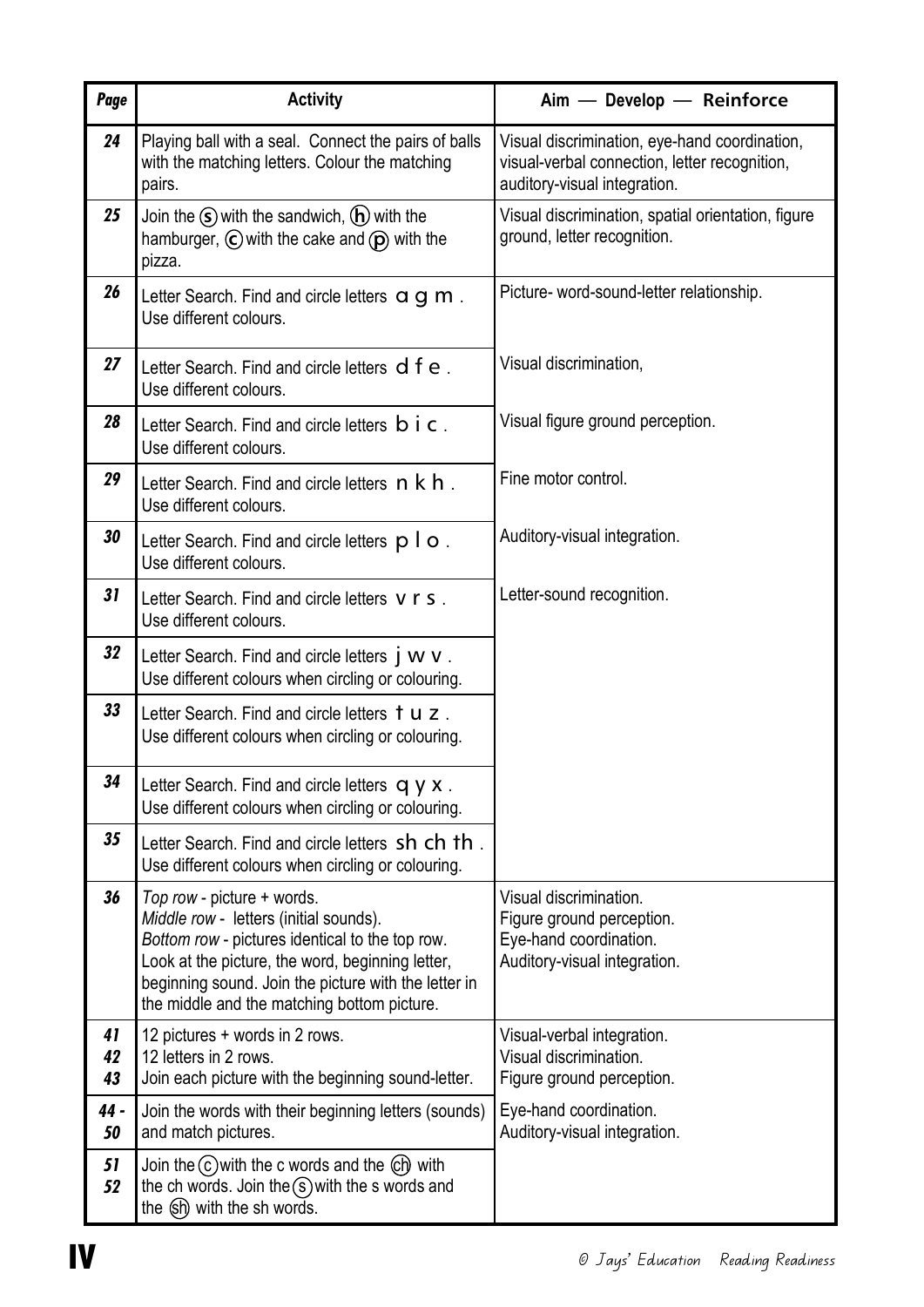| Page           | <b>Activity</b>                                                                                                                                                                                                                                                                    | Aim - Develop - Reinforce                                                                                                      |
|----------------|------------------------------------------------------------------------------------------------------------------------------------------------------------------------------------------------------------------------------------------------------------------------------------|--------------------------------------------------------------------------------------------------------------------------------|
| 24             | Playing ball with a seal. Connect the pairs of balls<br>with the matching letters. Colour the matching<br>pairs.                                                                                                                                                                   | Visual discrimination, eye-hand coordination,<br>visual-verbal connection, letter recognition,<br>auditory-visual integration. |
| 25             | Join the $\mathcal{S}$ with the sandwich, $\mathcal{F}$ with the<br>hamburger, $\odot$ with the cake and $\odot$ with the<br>pizza.                                                                                                                                                | Visual discrimination, spatial orientation, figure<br>ground, letter recognition.                                              |
| 26             | Letter Search. Find and circle letters $\alpha$ g m.<br>Use different colours.                                                                                                                                                                                                     | Picture- word-sound-letter relationship.                                                                                       |
| 27             | Letter Search. Find and circle letters d f e.<br>Use different colours.                                                                                                                                                                                                            | Visual discrimination,                                                                                                         |
| 28             | Letter Search. Find and circle letters <b>b</b> i <b>c</b> .<br>Use different colours.                                                                                                                                                                                             | Visual figure ground perception.                                                                                               |
| 29             | Letter Search. Find and circle letters $\overline{\mathsf{n}}$ k $\overline{\mathsf{h}}$ .<br>Use different colours.                                                                                                                                                               | Fine motor control.                                                                                                            |
| 30             | Letter Search. Find and circle letters $p \mid o$ .<br>Use different colours.                                                                                                                                                                                                      | Auditory-visual integration.                                                                                                   |
| 31             | Letter Search. Find and circle letters v r s.<br>Use different colours.                                                                                                                                                                                                            | Letter-sound recognition.                                                                                                      |
| 32             | Letter Search. Find and circle letters j W V.<br>Use different colours when circling or colouring.                                                                                                                                                                                 |                                                                                                                                |
| 33             | Letter Search. Find and circle letters tuz.<br>Use different colours when circling or colouring.                                                                                                                                                                                   |                                                                                                                                |
| 34             | Letter Search. Find and circle letters q y x.<br>Use different colours when circling or colouring.                                                                                                                                                                                 |                                                                                                                                |
| 35             | Letter Search. Find and circle letters sh ch th.<br>Use different colours when circling or colouring.                                                                                                                                                                              |                                                                                                                                |
| 36             | Top row - picture + words.<br>Middle row - letters (initial sounds).<br>Bottom row - pictures identical to the top row.<br>Look at the picture, the word, beginning letter,<br>beginning sound. Join the picture with the letter in<br>the middle and the matching bottom picture. | Visual discrimination.<br>Figure ground perception.<br>Eye-hand coordination.<br>Auditory-visual integration.                  |
| 41<br>42<br>43 | 12 pictures + words in 2 rows.<br>12 letters in 2 rows.<br>Join each picture with the beginning sound-letter.                                                                                                                                                                      | Visual-verbal integration.<br>Visual discrimination.<br>Figure ground perception.                                              |
| 44 -<br>50     | Join the words with their beginning letters (sounds)<br>and match pictures.                                                                                                                                                                                                        | Eye-hand coordination.<br>Auditory-visual integration.                                                                         |
| 51<br>52       | Join the $(c)$ with the c words and the $\left(\text{ch}\right)$ with<br>the ch words. Join the $(s)$ with the s words and<br>the (sh) with the sh words.                                                                                                                          |                                                                                                                                |